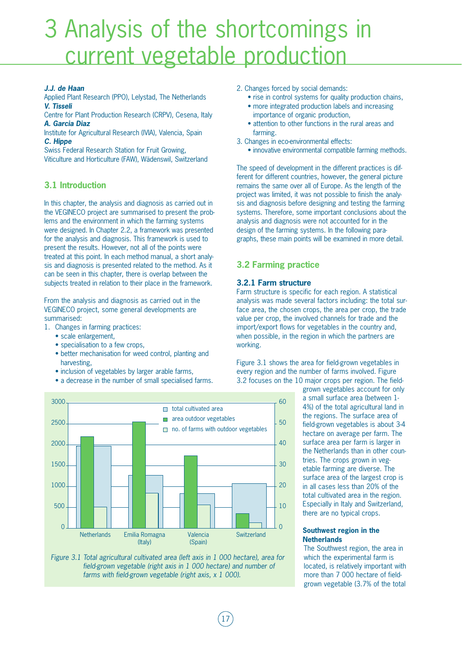# 3 Analysis of the shortcomings in current vegetable production

## *J.J. de Haan*

Applied Plant Research (PPO), Lelystad, The Netherlands *V. Tisseli* 

Centre for Plant Production Research (CRPV), Cesena, Italy *A. Garcia Diaz* 

Institute for Agricultural Research (IVIA), Valencia, Spain *C. Hippe* 

Swiss Federal Research Station for Fruit Growing, Viticulture and Horticulture (FAW), Wädenswil, Switzerland

# **3.1 Introduction**

In this chapter, the analysis and diagnosis as carried out in the VEGINECO project are summarised to present the problems and the environment in which the farming systems were designed. In Chapter 2.2, a framework was presented for the analysis and diagnosis. This framework is used to present the results. However, not all of the points were treated at this point. In each method manual, a short analysis and diagnosis is presented related to the method. As it can be seen in this chapter, there is overlap between the subjects treated in relation to their place in the framework.

From the analysis and diagnosis as carried out in the VEGINECO project, some general developments are summarised:

- 1. Changes in farming practices:
	- scale enlargement,
	- specialisation to a few crops,
	- better mechanisation for weed control, planting and harvesting,
	- inclusion of vegetables by larger arable farms,
	- a decrease in the number of small specialised farms.
- 2. Changes forced by social demands:
	- rise in control systems for quality production chains, • more integrated production labels and increasing
	- importance of organic production,
	- attention to other functions in the rural areas and farming.
- 3. Changes in eco-environmental effects:
	- innovative environmental compatible farming methods.

The speed of development in the different practices is different for different countries, however, the general picture remains the same over all of Europe. As the length of the project was limited, it was not possible to finish the analysis and diagnosis before designing and testing the farming systems. Therefore, some important conclusions about the analysis and diagnosis were not accounted for in the design of the farming systems. In the following paragraphs, these main points will be examined in more detail.

# **3.2 Farming practice**

# **3.2.1 Farm structure**

Farm structure is specific for each region. A statistical analysis was made several factors including: the total surface area, the chosen crops, the area per crop, the trade value per crop, the involved channels for trade and the import/export flows for vegetables in the country and, when possible, in the region in which the partners are working.

Figure 3.1 shows the area for field-grown vegetables in every region and the number of farms involved. Figure 3.2 focuses on the 10 major crops per region. The field-

> grown vegetables account for only a small surface area (between 1- 4%) of the total agricultural land in the regions. The surface area of field-grown vegetables is about 3-4 hectare on average per farm. The surface area per farm is larger in the Netherlands than in other countries. The crops grown in vegetable farming are diverse. The surface area of the largest crop is in all cases less than 20% of the total cultivated area in the region. Especially in Italy and Switzerland, there are no typical crops.

# **Southwest region in the Netherlands**

The Southwest region, the area in which the experimental farm is located, is relatively important with more than 7 000 hectare of fieldgrown vegetable (3.7% of the total



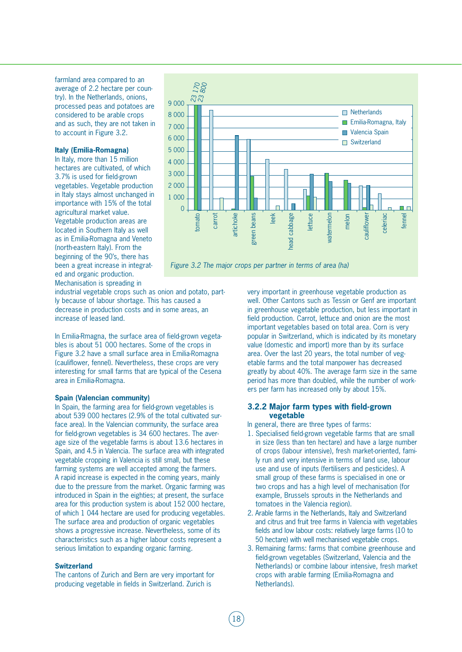farmland area compared to an average of 2.2 hectare per country). In the Netherlands, onions, processed peas and potatoes are considered to be arable crops and as such, they are not taken in to account in Figure 3.2.

## **Italy (Emilia-Romagna)**

In Italy, more than 15 million hectares are cultivated, of which 3.7% is used for field-grown vegetables. Vegetable production in Italy stays almost unchanged in importance with 15% of the total agricultural market value. Vegetable production areas are located in Southern Italy as well as in Emilia-Romagna and Veneto (north-eastern Italy). From the beginning of the 90's, there has been a great increase in integrated and organic production. Mechanisation is spreading in



industrial vegetable crops such as onion and potato, partly because of labour shortage. This has caused a decrease in production costs and in some areas, an increase of leased land.

In Emilia-Rmagna, the surface area of field-grown vegetables is about 51 000 hectares. Some of the crops in Figure 3.2 have a small surface area in Emilia-Romagna (cauliflower, fennel). Nevertheless, these crops are very interesting for small farms that are typical of the Cesena area in Emilia-Romagna.

## **Spain (Valencian community)**

In Spain, the farming area for field-grown vegetables is about 539 000 hectares (2.9% of the total cultivated surface area). In the Valencian community, the surface area for field-grown vegetables is 34 600 hectares. The average size of the vegetable farms is about 13.6 hectares in Spain, and 4.5 in Valencia. The surface area with integrated vegetable cropping in Valencia is still small, but these farming systems are well accepted among the farmers. A rapid increase is expected in the coming years, mainly due to the pressure from the market. Organic farming was introduced in Spain in the eighties; at present, the surface area for this production system is about 152 000 hectare, of which 1 044 hectare are used for producing vegetables. The surface area and production of organic vegetables shows a progressive increase. Nevertheless, some of its characteristics such as a higher labour costs represent a serious limitation to expanding organic farming.

#### **Switzerland**

The cantons of Zurich and Bern are very important for producing vegetable in fields in Switzerland. Zurich is

very important in greenhouse vegetable production as well. Other Cantons such as Tessin or Genf are important in greenhouse vegetable production, but less important in field production. Carrot, lettuce and onion are the most important vegetables based on total area. Corn is very popular in Switzerland, which is indicated by its monetary value (domestic and import) more than by its surface area. Over the last 20 years, the total number of vegetable farms and the total manpower has decreased greatly by about 40%. The average farm size in the same period has more than doubled, while the number of workers per farm has increased only by about 15%.

# **3.2.2 Major farm types with field-grown vegetable**

In general, there are three types of farms:

- 1. Specialised field-grown vegetable farms that are small in size (less than ten hectare) and have a large number of crops (labour intensive), fresh market-oriented, family run and very intensive in terms of land use, labour use and use of inputs (fertilisers and pesticides). A small group of these farms is specialised in one or two crops and has a high level of mechanisation (for example, Brussels sprouts in the Netherlands and tomatoes in the Valencia region).
- 2. Arable farms in the Netherlands, Italy and Switzerland and citrus and fruit tree farms in Valencia with vegetables fields and low labour costs: relatively large farms (10 to 50 hectare) with well mechanised vegetable crops.
- 3. Remaining farms: farms that combine greenhouse and field-grown vegetables (Switzerland, Valencia and the Netherlands) or combine labour intensive, fresh market crops with arable farming (Emilia-Romagna and Netherlands).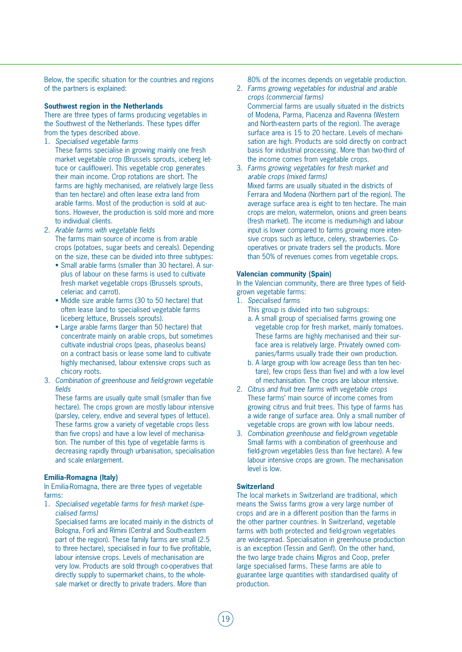Below, the specific situation for the countries and regions of the partners is explained:

# **Southwest region in the Netherlands**

There are three types of farms producing vegetables in the Southwest of the Netherlands. These types differ from the types described above.

- 1. *Specialised vegetable farms*
- These farms specialise in growing mainly one fresh market vegetable crop (Brussels sprouts, iceberg lettuce or cauliflower). This vegetable crop generates their main income. Crop rotations are short. The farms are highly mechanised, are relatively large (less than ten hectare) and often lease extra land from arable farms. Most of the production is sold at auctions. However, the production is sold more and more to individual clients.
- 2. *Arable farms with vegetable fields*  The farms main source of income is from arable crops (potatoes, sugar beets and cereals). Depending on the size, these can be divided into three subtypes:
	- Small arable farms (smaller than 30 hectare). A surplus of labour on these farms is used to cultivate fresh market vegetable crops (Brussels sprouts, celeriac and carrot).
	- Middle size arable farms (30 to 50 hectare) that often lease land to specialised vegetable farms (iceberg lettuce, Brussels sprouts).
	- Large arable farms (larger than 50 hectare) that concentrate mainly on arable crops, but sometimes cultivate industrial crops (peas, phaseolus beans) on a contract basis or lease some land to cultivate highly mechanised, labour extensive crops such as chicory roots.
- 3. *Combination of greenhouse and field-grown vegetable fields*

These farms are usually quite small (smaller than five hectare). The crops grown are mostly labour intensive (parsley, celery, endive and several types of lettuce). These farms grow a variety of vegetable crops (less than five crops) and have a low level of mechanisation. The number of this type of vegetable farms is decreasing rapidly through urbanisation, specialisation and scale enlargement.

#### **Emilia-Romagna (Italy)**

In Emilia-Romagna, there are three types of vegetable farms:

1. *Specialised vegetable farms for fresh market (specialised farms)*

Specialised farms are located mainly in the districts of Bologna, Forlì and Rimini (Central and South-eastern part of the region). These family farms are small (2.5 to three hectare), specialised in four to five profitable, labour intensive crops. Levels of mechanisation are very low. Products are sold through co-operatives that directly supply to supermarket chains, to the wholesale market or directly to private traders. More than

80% of the incomes depends on vegetable production.

- 2. *Farms growing vegetables for industrial and arable crops (commercial farms)* Commercial farms are usually situated in the districts of Modena, Parma, Piacenza and Ravenna (Western and North-eastern parts of the region). The average surface area is 15 to 20 hectare. Levels of mechanisation are high. Products are sold directly on contract basis for industrial processing. More than two-third of the income comes from vegetable crops.
- 3. *Farms growing vegetables for fresh market and arable crops (mixed farms)* Mixed farms are usually situated in the districts of Ferrara and Modena (Northern part of the region). The average surface area is eight to ten hectare. The main crops are melon, watermelon, onions and green beans (fresh market). The income is medium-high and labour input is lower compared to farms growing more intensive crops such as lettuce, celery, strawberries. Cooperatives or private traders sell the products. More than 50% of revenues comes from vegetable crops.

# **Valencian community (Spain)**

In the Valencian community, there are three types of fieldgrown vegetable farms:

- 1. *Specialised farms*
	- This group is divided into two subgroups:
	- a. A small group of specialised farms growing one vegetable crop for fresh market, mainly tomatoes. These farms are highly mechanised and their surface area is relatively large. Privately owned companies/farms usually trade their own production.
	- b. A large group with low acreage (less than ten hectare), few crops (less than five) and with a low level of mechanisation. The crops are labour intensive.
- 2. *Citrus and fruit tree farms with vegetable crops* These farms' main source of income comes from growing citrus and fruit trees. This type of farms has a wide range of surface area. Only a small number of vegetable crops are grown with low labour needs.
- 3. *Combination greenhouse and field-grown vegetable*  Small farms with a combination of greenhouse and field-grown vegetables (less than five hectare). A few labour intensive crops are grown. The mechanisation level is low.

#### **Switzerland**

The local markets in Switzerland are traditional, which means the Swiss farms grow a very large number of crops and are in a different position than the farms in the other partner countries. In Switzerland, vegetable farms with both protected and field-grown vegetables are widespread. Specialisation in greenhouse production is an exception (Tessin and Genf). On the other hand, the two large trade chains Migros and Coop, prefer large specialised farms. These farms are able to guarantee large quantities with standardised quality of production.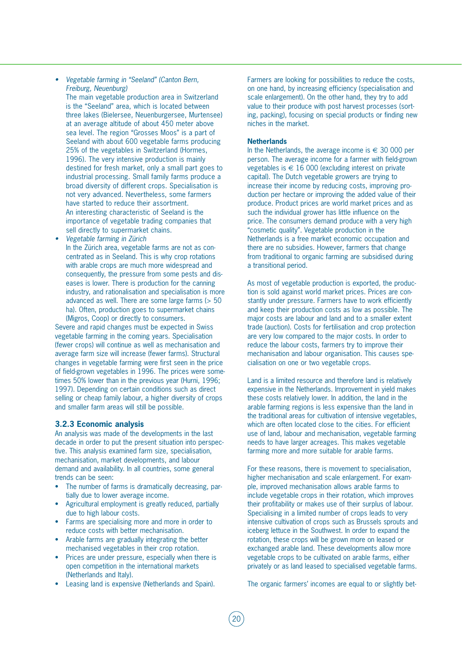*• Vegetable farming in "Seeland" (Canton Bern, Freiburg, Neuenburg)*

The main vegetable production area in Switzerland is the "Seeland" area, which is located between three lakes (Bielersee, Neuenburgersee, Murtensee) at an average altitude of about 450 meter above sea level. The region "Grosses Moos" is a part of Seeland with about 600 vegetable farms producing 25% of the vegetables in Switzerland (Hormes, 1996). The very intensive production is mainly destined for fresh market, only a small part goes to industrial processing. Small family farms produce a broad diversity of different crops. Specialisation is not very advanced. Nevertheless, some farmers have started to reduce their assortment. An interesting characteristic of Seeland is the importance of vegetable trading companies that sell directly to supermarket chains.

*• Vegetable farming in Zürich* In the Zürich area, vegetable farms are not as concentrated as in Seeland. This is why crop rotations with arable crops are much more widespread and consequently, the pressure from some pests and diseases is lower. There is production for the canning industry, and rationalisation and specialisation is more advanced as well. There are some large farms (> 50 ha). Often, production goes to supermarket chains

(Migros, Coop) or directly to consumers. Severe and rapid changes must be expected in Swiss vegetable farming in the coming years. Specialisation (fewer crops) will continue as well as mechanisation and average farm size will increase (fewer farms). Structural changes in vegetable farming were first seen in the price of field-grown vegetables in 1996. The prices were sometimes 50% lower than in the previous year (Hurni, 1996; 1997). Depending on certain conditions such as direct selling or cheap family labour, a higher diversity of crops and smaller farm areas will still be possible.

# **3.2.3 Economic analysis**

An analysis was made of the developments in the last decade in order to put the present situation into perspective. This analysis examined farm size, specialisation, mechanisation, market developments, and labour demand and availability. In all countries, some general trends can be seen:

- The number of farms is dramatically decreasing, partially due to lower average income.
- Agricultural employment is greatly reduced, partially due to high labour costs.
- Farms are specialising more and more in order to reduce costs with better mechanisation.
- Arable farms are gradually integrating the better mechanised vegetables in their crop rotation.
- Prices are under pressure, especially when there is open competition in the international markets (Netherlands and Italy).
- Leasing land is expensive (Netherlands and Spain).

Farmers are looking for possibilities to reduce the costs, on one hand, by increasing efficiency (specialisation and scale enlargement). On the other hand, they try to add value to their produce with post harvest processes (sorting, packing), focusing on special products or finding new niches in the market.

## **Netherlands**

In the Netherlands, the average income is  $∈$  30 000 per person. The average income for a farmer with field-grown vegetables is  $\in$  16 000 (excluding interest on private capital). The Dutch vegetable growers are trying to increase their income by reducing costs, improving production per hectare or improving the added value of their produce. Product prices are world market prices and as such the individual grower has little influence on the price. The consumers demand produce with a very high "cosmetic quality". Vegetable production in the Netherlands is a free market economic occupation and there are no subsidies. However, farmers that change from traditional to organic farming are subsidised during a transitional period.

As most of vegetable production is exported, the production is sold against world market prices. Prices are constantly under pressure. Farmers have to work efficiently and keep their production costs as low as possible. The major costs are labour and land and to a smaller extent trade (auction). Costs for fertilisation and crop protection are very low compared to the major costs. In order to reduce the labour costs, farmers try to improve their mechanisation and labour organisation. This causes specialisation on one or two vegetable crops.

Land is a limited resource and therefore land is relatively expensive in the Netherlands. Improvement in yield makes these costs relatively lower. In addition, the land in the arable farming regions is less expensive than the land in the traditional areas for cultivation of intensive vegetables, which are often located close to the cities. For efficient use of land, labour and mechanisation, vegetable farming needs to have larger acreages. This makes vegetable farming more and more suitable for arable farms.

For these reasons, there is movement to specialisation, higher mechanisation and scale enlargement. For example, improved mechanisation allows arable farms to include vegetable crops in their rotation, which improves their profitability or makes use of their surplus of labour. Specialising in a limited number of crops leads to very intensive cultivation of crops such as Brussels sprouts and iceberg lettuce in the Southwest. In order to expand the rotation, these crops will be grown more on leased or exchanged arable land. These developments allow more vegetable crops to be cultivated on arable farms, either privately or as land leased to specialised vegetable farms.

The organic farmers' incomes are equal to or slightly bet-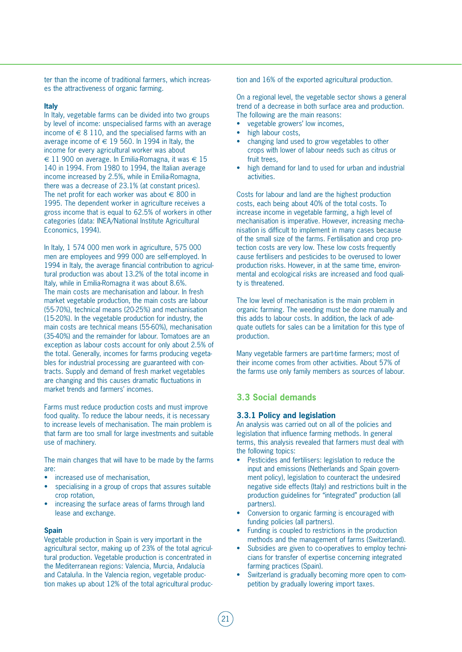ter than the income of traditional farmers, which increases the attractiveness of organic farming.

#### **Italy**

In Italy, vegetable farms can be divided into two groups by level of income: unspecialised farms with an average income of  $\in$  8 110, and the specialised farms with an average income of  $\in$  19 560. In 1994 in Italy, the income for every agricultural worker was about  $€ 11,900$  on average. In Emilia-Romagna, it was  $€ 15$ 140 in 1994. From 1980 to 1994, the Italian average income increased by 2.5%, while in Emilia-Romagna, there was a decrease of 23.1% (at constant prices). The net profit for each worker was about  $\in$  800 in 1995. The dependent worker in agriculture receives a gross income that is equal to 62.5% of workers in other categories (data: INEA/National Institute Agricultural Economics, 1994).

In Italy, 1 574 000 men work in agriculture, 575 000 men are employees and 999 000 are self-employed. In 1994 in Italy, the average financial contribution to agricultural production was about 13.2% of the total income in Italy, while in Emilia-Romagna it was about 8.6%. The main costs are mechanisation and labour. In fresh market vegetable production, the main costs are labour (55-70%), technical means (20-25%) and mechanisation (15-20%). In the vegetable production for industry, the main costs are technical means (55-60%), mechanisation (35-40%) and the remainder for labour. Tomatoes are an exception as labour costs account for only about 2.5% of the total. Generally, incomes for farms producing vegetables for industrial processing are guaranteed with contracts. Supply and demand of fresh market vegetables are changing and this causes dramatic fluctuations in market trends and farmers' incomes.

Farms must reduce production costs and must improve food quality. To reduce the labour needs, it is necessary to increase levels of mechanisation. The main problem is that farm are too small for large investments and suitable use of machinery.

The main changes that will have to be made by the farms are:

- increased use of mechanisation,
- specialising in a group of crops that assures suitable crop rotation,
- increasing the surface areas of farms through land lease and exchange.

#### **Spain**

Vegetable production in Spain is very important in the agricultural sector, making up of 23% of the total agricultural production. Vegetable production is concentrated in the Mediterranean regions: Valencia, Murcia, Andalucía and Cataluña. In the Valencia region, vegetable production makes up about 12% of the total agricultural production and 16% of the exported agricultural production.

On a regional level, the vegetable sector shows a general trend of a decrease in both surface area and production. The following are the main reasons:

- vegetable growers' low incomes,
- high labour costs,
- changing land used to grow vegetables to other crops with lower of labour needs such as citrus or fruit trees,
- high demand for land to used for urban and industrial activities.

Costs for labour and land are the highest production costs, each being about 40% of the total costs. To increase income in vegetable farming, a high level of mechanisation is imperative. However, increasing mechanisation is difficult to implement in many cases because of the small size of the farms. Fertilisation and crop protection costs are very low. These low costs frequently cause fertilisers and pesticides to be overused to lower production risks. However, in at the same time, environmental and ecological risks are increased and food quality is threatened.

The low level of mechanisation is the main problem in organic farming. The weeding must be done manually and this adds to labour costs. In addition, the lack of adequate outlets for sales can be a limitation for this type of production.

Many vegetable farmers are part-time farmers; most of their income comes from other activities. About 57% of the farms use only family members as sources of labour.

# **3.3 Social demands**

#### **3.3.1 Policy and legislation**

An analysis was carried out on all of the policies and legislation that influence farming methods. In general terms, this analysis revealed that farmers must deal with the following topics:

- Pesticides and fertilisers: legislation to reduce the input and emissions (Netherlands and Spain government policy), legislation to counteract the undesired negative side effects (Italy) and restrictions built in the production guidelines for "integrated" production (all partners).
- Conversion to organic farming is encouraged with funding policies (all partners).
- Funding is coupled to restrictions in the production methods and the management of farms (Switzerland).
- Subsidies are given to co-operatives to employ technicians for transfer of expertise concerning integrated farming practices (Spain).
- Switzerland is gradually becoming more open to competition by gradually lowering import taxes.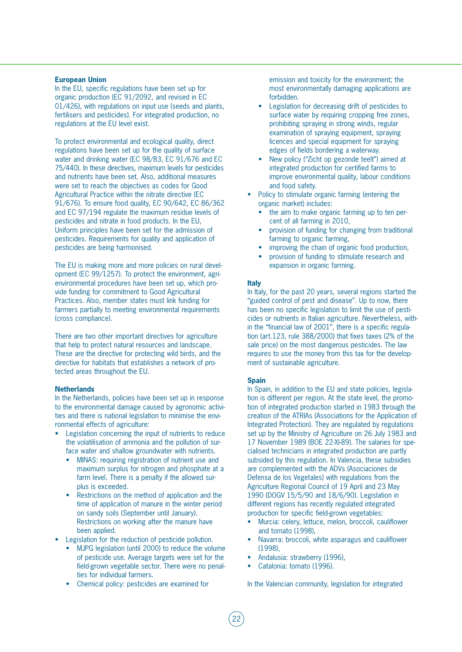# **European Union**

In the EU, specific regulations have been set up for organic production (EC 91/2092, and revised in EC 01/426), with regulations on input use (seeds and plants, fertilisers and pesticides). For integrated production, no regulations at the EU level exist.

To protect environmental and ecological quality, direct regulations have been set up for the quality of surface water and drinking water (EC 98/83, EC 91/676 and EC 75/440). In these directives, maximum levels for pesticides and nutrients have been set. Also, additional measures were set to reach the objectives as codes for Good Agricultural Practice within the nitrate directive (EC 91/676). To ensure food quality, EC 90/642, EC 86/362 and EC 97/194 regulate the maximum residue levels of pesticides and nitrate in food products. In the EU, Uniform principles have been set for the admission of pesticides. Requirements for quality and application of pesticides are being harmonised.

The EU is making more and more policies on rural development (EC 99/1257). To protect the environment, agrienvironmental procedures have been set up, which provide funding for commitment to Good Agricultural Practices. Also, member states must link funding for farmers partially to meeting environmental requirements (cross compliance).

There are two other important directives for agriculture that help to protect natural resources and landscape. These are the directive for protecting wild birds, and the directive for habitats that establishes a network of protected areas throughout the EU.

## **Netherlands**

In the Netherlands, policies have been set up in response to the environmental damage caused by agronomic activities and there is national legislation to minimise the environmental effects of agriculture:

- Legislation concerning the input of nutrients to reduce the volatilisation of ammonia and the pollution of surface water and shallow groundwater with nutrients.
	- MINAS: requiring registration of nutrient use and maximum surplus for nitrogen and phosphate at a farm level. There is a penalty if the allowed surplus is exceeded.
	- Restrictions on the method of application and the time of application of manure in the winter period on sandy soils (September until January). Restrictions on working after the manure have been applied.
- Legislation for the reduction of pesticide pollution.
	- MJPG legislation (until 2000) to reduce the volume of pesticide use. Average targets were set for the field-grown vegetable sector. There were no penalties for individual farmers.
	- Chemical policy: pesticides are examined for

emission and toxicity for the environment; the most environmentally damaging applications are forbidden.

- Legislation for decreasing drift of pesticides to surface water by requiring cropping free zones, prohibiting spraying in strong winds, regular examination of spraying equipment, spraying licences and special equipment for spraying edges of fields bordering a waterway.
- New policy ("Zicht op gezonde teelt") aimed at integrated production for certified farms to improve environmental quality, labour conditions and food safety.
- Policy to stimulate organic farming (entering the organic market) includes:
	- the aim to make organic farming up to ten percent of all farming in 2010,
	- provision of funding for changing from traditional farming to organic farming,
	- improving the chain of organic food production.
	- provision of funding to stimulate research and expansion in organic farming.

#### **Italy**

In Italy, for the past 20 years, several regions started the "guided control of pest and disease". Up to now, there has been no specific legislation to limit the use of pesticides or nutrients in Italian agriculture. Nevertheless, within the "financial law of 2001", there is a specific regulation (art.123, rule 388/2000) that fixes taxes (2% of the sale price) on the most dangerous pesticides. The law requires to use the money from this tax for the development of sustainable agriculture.

#### **Spain**

In Spain, in addition to the EU and state policies, legislation is different per region. At the state level, the promotion of integrated production started in 1983 through the creation of the ATRIAs (Associations for the Application of Integrated Protection). They are regulated by regulations set up by the Ministry of Agriculture on 26 July 1983 and 17 November 1989 (BOE 22-XI-89). The salaries for specialised technicians in integrated production are partly subsided by this regulation. In Valencia, these subsidies are complemented with the ADVs (Asociaciones de Defensa de los Vegetales) with regulations from the Agriculture Regional Council of 19 April and 23 May 1990 (DOGV 15/5/90 and 18/6/90). Legislation in different regions has recently regulated integrated production for specific field-grown vegetables:

- Murcia: celery, lettuce, melon, broccoli, cauliflower and tomato (1998),
- Navarra: broccoli, white asparagus and cauliflower (1998),
- Andalusia: strawberry (1996),
- Catalonia: tomato (1996).

In the Valencian community, legislation for integrated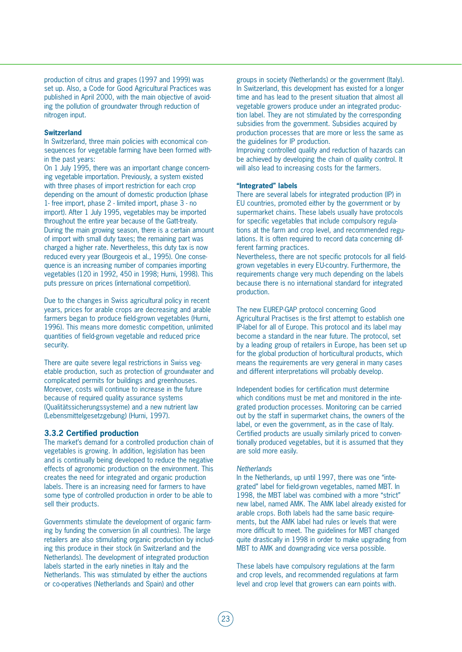production of citrus and grapes (1997 and 1999) was set up. Also, a Code for Good Agricultural Practices was published in April 2000, with the main objective of avoiding the pollution of groundwater through reduction of nitrogen input.

## **Switzerland**

In Switzerland, three main policies with economical consequences for vegetable farming have been formed within the past years:

On 1 July 1995, there was an important change concerning vegetable importation. Previously, a system existed with three phases of import restriction for each crop depending on the amount of domestic production (phase 1- free import, phase 2 - limited import, phase 3 - no import). After 1 July 1995, vegetables may be imported throughout the entire year because of the Gatt-treaty. During the main growing season, there is a certain amount of import with small duty taxes; the remaining part was charged a higher rate. Nevertheless, this duty tax is now reduced every year (Bourgeois et al., 1995). One consequence is an increasing number of companies importing vegetables (120 in 1992, 450 in 1998; Hurni, 1998). This puts pressure on prices (international competition).

Due to the changes in Swiss agricultural policy in recent years, prices for arable crops are decreasing and arable farmers began to produce field-grown vegetables (Hurni, 1996). This means more domestic competition, unlimited quantities of field-grown vegetable and reduced price security.

There are quite severe legal restrictions in Swiss vegetable production, such as protection of groundwater and complicated permits for buildings and greenhouses. Moreover, costs will continue to increase in the future because of required quality assurance systems (Qualitätssicherungssysteme) and a new nutrient law (Lebensmittelgesetzgebung) (Hurni, 1997).

# **3.3.2 Certified production**

The market's demand for a controlled production chain of vegetables is growing. In addition, legislation has been and is continually being developed to reduce the negative effects of agronomic production on the environment. This creates the need for integrated and organic production labels. There is an increasing need for farmers to have some type of controlled production in order to be able to sell their products.

Governments stimulate the development of organic farming by funding the conversion (in all countries). The large retailers are also stimulating organic production by including this produce in their stock (in Switzerland and the Netherlands). The development of integrated production labels started in the early nineties in Italy and the Netherlands. This was stimulated by either the auctions or co-operatives (Netherlands and Spain) and other

groups in society (Netherlands) or the government (Italy). In Switzerland, this development has existed for a longer time and has lead to the present situation that almost all vegetable growers produce under an integrated production label. They are not stimulated by the corresponding subsidies from the government. Subsidies acquired by production processes that are more or less the same as the guidelines for IP production.

Improving controlled quality and reduction of hazards can be achieved by developing the chain of quality control. It will also lead to increasing costs for the farmers.

#### **"Integrated" labels**

There are several labels for integrated production (IP) in EU countries, promoted either by the government or by supermarket chains. These labels usually have protocols for specific vegetables that include compulsory regulations at the farm and crop level, and recommended regulations. It is often required to record data concerning different farming practices.

Nevertheless, there are not specific protocols for all fieldgrown vegetables in every EU-country. Furthermore, the requirements change very much depending on the labels because there is no international standard for integrated production.

The new EUREP-GAP protocol concerning Good Agricultural Practises is the first attempt to establish one IP-label for all of Europe. This protocol and its label may become a standard in the near future. The protocol, set by a leading group of retailers in Europe, has been set up for the global production of horticultural products, which means the requirements are very general in many cases and different interpretations will probably develop.

Independent bodies for certification must determine which conditions must be met and monitored in the integrated production processes. Monitoring can be carried out by the staff in supermarket chains, the owners of the label, or even the government, as in the case of Italy. Certified products are usually similarly priced to conventionally produced vegetables, but it is assumed that they are sold more easily.

#### *Netherlands*

In the Netherlands, up until 1997, there was one "integrated" label for field-grown vegetables, named MBT. In 1998, the MBT label was combined with a more "strict" new label, named AMK. The AMK label already existed for arable crops. Both labels had the same basic requirements, but the AMK label had rules or levels that were more difficult to meet. The guidelines for MBT changed quite drastically in 1998 in order to make upgrading from MBT to AMK and downgrading vice versa possible.

These labels have compulsory regulations at the farm and crop levels, and recommended regulations at farm level and crop level that growers can earn points with.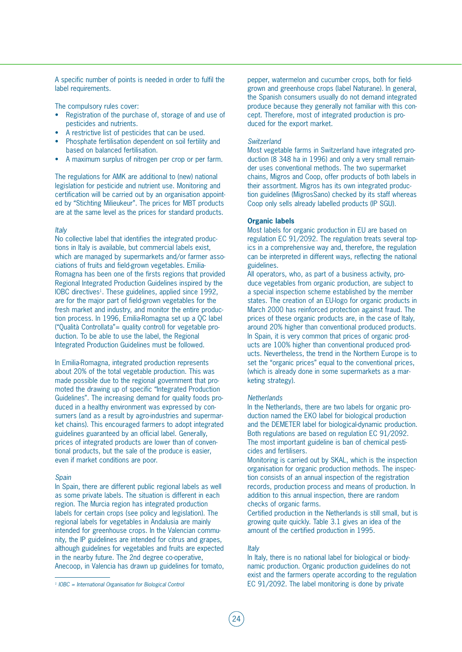A specific number of points is needed in order to fulfil the label requirements.

The compulsory rules cover:

- Registration of the purchase of, storage of and use of pesticides and nutrients.
- A restrictive list of pesticides that can be used.
- Phosphate fertilisation dependent on soil fertility and based on balanced fertilisation.
- A maximum surplus of nitrogen per crop or per farm.

The regulations for AMK are additional to (new) national legislation for pesticide and nutrient use. Monitoring and certification will be carried out by an organisation appointed by "Stichting Milieukeur". The prices for MBT products are at the same level as the prices for standard products.

#### *Italy*

No collective label that identifies the integrated productions in Italy is available, but commercial labels exist, which are managed by supermarkets and/or farmer associations of fruits and field-grown vegetables. Emilia-Romagna has been one of the firsts regions that provided Regional Integrated Production Guidelines inspired by the IOBC directives<sup>1</sup>. These guidelines, applied since 1992, are for the major part of field-grown vegetables for the fresh market and industry, and monitor the entire production process. In 1996, Emilia-Romagna set up a QC label ("Qualità Controllata"= quality control) for vegetable production. To be able to use the label, the Regional Integrated Production Guidelines must be followed.

In Emilia-Romagna, integrated production represents about 20% of the total vegetable production. This was made possible due to the regional government that promoted the drawing up of specific "Integrated Production Guidelines". The increasing demand for quality foods produced in a healthy environment was expressed by consumers (and as a result by agro-industries and supermarket chains). This encouraged farmers to adopt integrated guidelines guaranteed by an official label. Generally, prices of integrated products are lower than of conventional products, but the sale of the produce is easier, even if market conditions are poor.

#### *Spain*

In Spain, there are different public regional labels as well as some private labels. The situation is different in each region. The Murcia region has integrated production labels for certain crops (see policy and legislation). The regional labels for vegetables in Andalusia are mainly intended for greenhouse crops. In the Valencian community, the IP guidelines are intended for citrus and grapes, although guidelines for vegetables and fruits are expected in the nearby future. The 2nd degree co-operative, Anecoop, in Valencia has drawn up guidelines for tomato, pepper, watermelon and cucumber crops, both for fieldgrown and greenhouse crops (label Naturane). In general, the Spanish consumers usually do not demand integrated produce because they generally not familiar with this concept. Therefore, most of integrated production is produced for the export market.

## *Switzerland*

Most vegetable farms in Switzerland have integrated production (8 348 ha in 1996) and only a very small remainder uses conventional methods. The two supermarket chains, Migros and Coop, offer products of both labels in their assortment. Migros has its own integrated production guidelines (MigrosSano) checked by its staff whereas Coop only sells already labelled products (IP SGU).

## **Organic labels**

Most labels for organic production in EU are based on regulation EC 91/2092. The regulation treats several topics in a comprehensive way and, therefore, the regulation can be interpreted in different ways, reflecting the national guidelines.

All operators, who, as part of a business activity, produce vegetables from organic production, are subject to a special inspection scheme established by the member states. The creation of an EU-logo for organic products in March 2000 has reinforced protection against fraud. The prices of these organic products are, in the case of Italy, around 20% higher than conventional produced products. In Spain, it is very common that prices of organic products are 100% higher than conventional produced products. Nevertheless, the trend in the Northern Europe is to set the "organic prices" equal to the conventional prices, (which is already done in some supermarkets as a marketing strategy).

#### *Netherlands*

In the Netherlands, there are two labels for organic production named the EKO label for biological production and the DEMETER label for biological-dynamic production. Both regulations are based on regulation EC 91/2092. The most important guideline is ban of chemical pesticides and fertilisers.

Monitoring is carried out by SKAL, which is the inspection organisation for organic production methods. The inspection consists of an annual inspection of the registration records, production process and means of production. In addition to this annual inspection, there are random checks of organic farms.

Certified production in the Netherlands is still small, but is growing quite quickly. Table 3.1 gives an idea of the amount of the certified production in 1995.

#### *Italy*

In Italy, there is no national label for biological or biodynamic production. Organic production guidelines do not exist and the farmers operate according to the regulation EC 91/2092. The label monitoring is done by private

*<sup>1</sup> IOBC = International Organisation for Biological Control*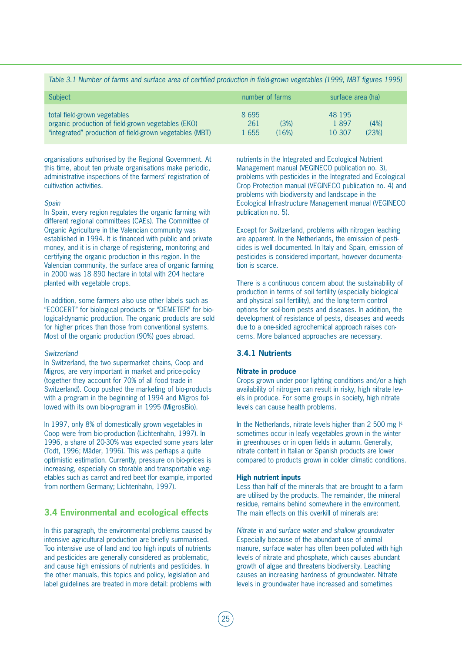# *Table 3.1 Number of farms and surface area of certified production in field-grown vegetables (1999, MBT figures 1995)*

| <b>Subject</b>                                                                                                                                | number of farms                         | surface area (ha)                         |
|-----------------------------------------------------------------------------------------------------------------------------------------------|-----------------------------------------|-------------------------------------------|
| total field-grown vegetables<br>organic production of field-grown vegetables (EKO)<br>"integrated" production of field-grown vegetables (MBT) | 8695<br>261<br>(3%)<br>1 655<br>$16\%)$ | 48 195<br>1897<br>(4%)<br>(23%)<br>10 307 |

organisations authorised by the Regional Government. At this time, about ten private organisations make periodic, administrative inspections of the farmers' registration of cultivation activities.

#### *Spain*

In Spain, every region regulates the organic farming with different regional committees (CAEs). The Committee of Organic Agriculture in the Valencian community was established in 1994. It is financed with public and private money, and it is in charge of registering, monitoring and certifying the organic production in this region. In the Valencian community, the surface area of organic farming in 2000 was 18 890 hectare in total with 204 hectare planted with vegetable crops.

In addition, some farmers also use other labels such as "ECOCERT" for biological products or "DEMETER" for biological-dynamic production. The organic products are sold for higher prices than those from conventional systems. Most of the organic production (90%) goes abroad.

#### *Switzerland*

In Switzerland, the two supermarket chains, Coop and Migros, are very important in market and price-policy (together they account for 70% of all food trade in Switzerland). Coop pushed the marketing of bio-products with a program in the beginning of 1994 and Migros followed with its own bio-program in 1995 (MigrosBio).

In 1997, only 8% of domestically grown vegetables in Coop were from bio-production (Lichtenhahn, 1997). In 1996, a share of 20-30% was expected some years later (Todt, 1996; Mäder, 1996). This was perhaps a quite optimistic estimation. Currently, pressure on bio-prices is increasing, especially on storable and transportable vegetables such as carrot and red beet (for example, imported from northern Germany; Lichtenhahn, 1997).

# **3.4 Environmental and ecological effects**

In this paragraph, the environmental problems caused by intensive agricultural production are briefly summarised. Too intensive use of land and too high inputs of nutrients and pesticides are generally considered as problematic, and cause high emissions of nutrients and pesticides. In the other manuals, this topics and policy, legislation and label guidelines are treated in more detail: problems with

nutrients in the Integrated and Ecological Nutrient Management manual (VEGINECO publication no. 3), problems with pesticides in the Integrated and Ecological Crop Protection manual (VEGINECO publication no. 4) and problems with biodiversity and landscape in the Ecological Infrastructure Management manual (VEGINECO publication no. 5).

Except for Switzerland, problems with nitrogen leaching are apparent. In the Netherlands, the emission of pesticides is well documented. In Italy and Spain, emission of pesticides is considered important, however documentation is scarce.

There is a continuous concern about the sustainability of production in terms of soil fertility (especially biological and physical soil fertility), and the long-term control options for soil-born pests and diseases. In addition, the development of resistance of pests, diseases and weeds due to a one-sided agrochemical approach raises concerns. More balanced approaches are necessary.

# **3.4.1 Nutrients**

# **Nitrate in produce**

Crops grown under poor lighting conditions and/or a high availability of nitrogen can result in risky, high nitrate levels in produce. For some groups in society, high nitrate levels can cause health problems.

In the Netherlands, nitrate levels higher than 2 500 mg  $\mathbb{I}^1$ sometimes occur in leafy vegetables grown in the winter in greenhouses or in open fields in autumn. Generally, nitrate content in Italian or Spanish products are lower compared to products grown in colder climatic conditions.

#### **High nutrient inputs**

Less than half of the minerals that are brought to a farm are utilised by the products. The remainder, the mineral residue, remains behind somewhere in the environment. The main effects on this overkill of minerals are:

*Nitrate in and surface water and shallow groundwater* Especially because of the abundant use of animal manure, surface water has often been polluted with high levels of nitrate and phosphate, which causes abundant growth of algae and threatens biodiversity. Leaching causes an increasing hardness of groundwater. Nitrate levels in groundwater have increased and sometimes